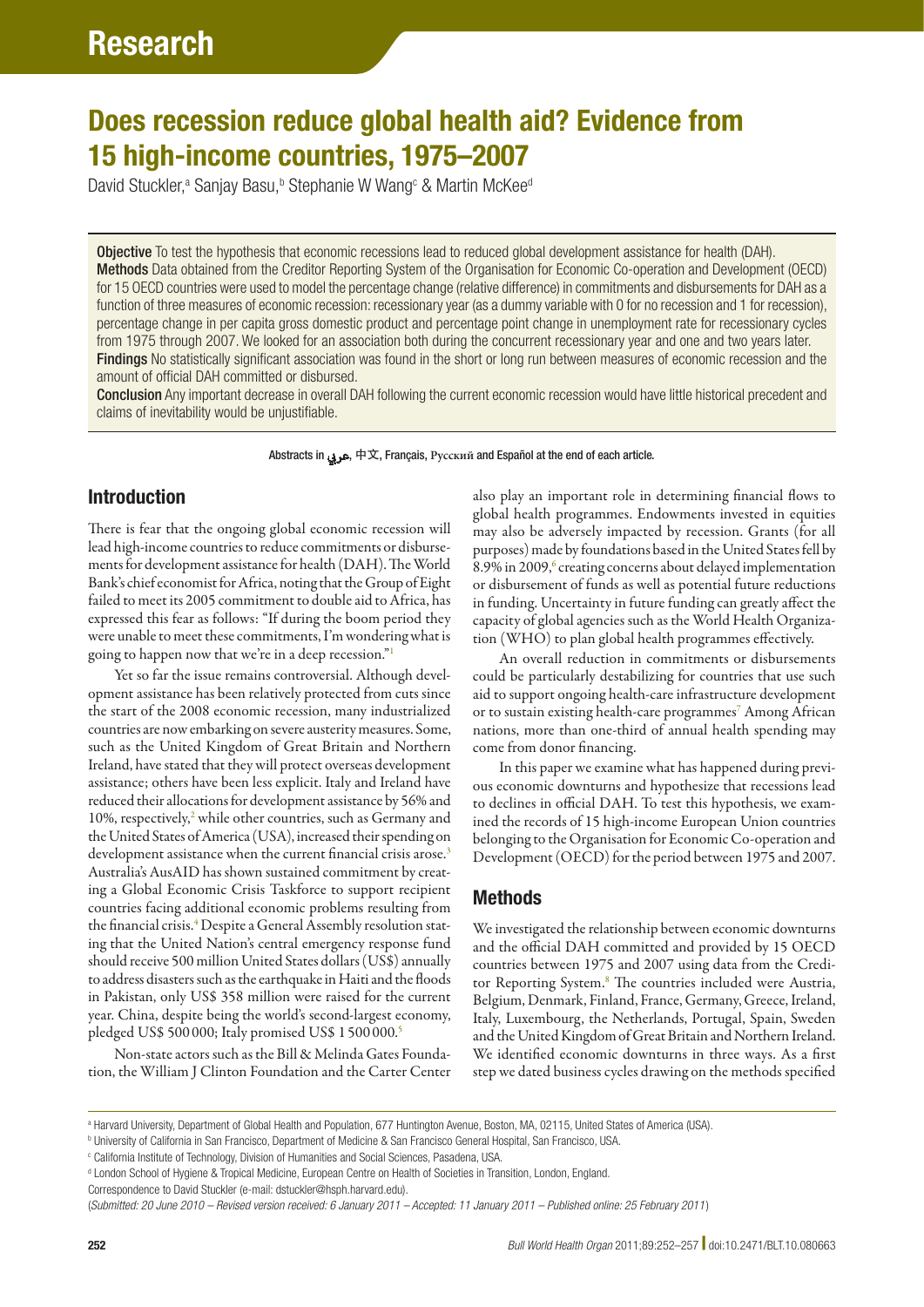# Does recession reduce global health aid? Evidence from 15 high-income countries, 1975–2007

David Stuckler,<sup>a</sup> Sanjay Basu,<sup>b</sup> Stephanie W Wang<sup>c</sup> & Martin McKee<sup>d</sup>

Objective To test the hypothesis that economic recessions lead to reduced global development assistance for health (DAH). Methods Data obtained from the Creditor Reporting System of the Organisation for Economic Co-operation and Development (OECD) for 15 OECD countries were used to model the percentage change (relative difference) in commitments and disbursements for DAH as a function of three measures of economic recession: recessionary year (as a dummy variable with 0 for no recession and 1 for recession), percentage change in per capita gross domestic product and percentage point change in unemployment rate for recessionary cycles from 1975 through 2007. We looked for an association both during the concurrent recessionary year and one and two years later. Findings No statistically significant association was found in the short or long run between measures of economic recession and the amount of official DAH committed or disbursed.

Conclusion Any important decrease in overall DAH following the current economic recession would have little historical precedent and claims of inevitability would be unjustifiable.

Abstracts in عريب, 中文, Français, **Pусский** and Español at the end of each article.

# Introduction

There is fear that the ongoing global economic recession will lead high-income countries to reduce commitments or disbursements for development assistance for health (DAH). The World Bank's chief economist for Africa, noting that the Group of Eight failed to meet its 2005 commitment to double aid to Africa, has expressed this fear as follows: "If during the boom period they were unable to meet these commitments, I'm wondering what is going to happen now that we're in a deep recession.["1](#page-5-0)

Yet so far the issue remains controversial. Although development assistance has been relatively protected from cuts since the start of the 2008 economic recession, many industrialized countries are now embarking on severe austerity measures. Some, such as the United Kingdom of Great Britain and Northern Ireland, have stated that they will protect overseas development assistance; others have been less explicit. Italy and Ireland have reduced their allocations for development assistance by 56% and 10%, respectively,<sup>[2](#page-5-1)</sup> while other countries, such as Germany and the United States of America (USA), increased their spending on development assistance when the current financial crisis arose.<sup>[3](#page-5-2)</sup> Australia's AusAID has shown sustained commitment by creating a Global Economic Crisis Taskforce to support recipient countries facing additional economic problems resulting from the financial crisis.<sup>[4](#page-5-3)</sup> Despite a General Assembly resolution stating that the United Nation's central emergency response fund should receive 500 million United States dollars (US\$) annually to address disasters such as the earthquake in Haiti and the floods in Pakistan, only US\$ 358 million were raised for the current year. China, despite being the world's second-largest economy, pledged US\$ 500 000; Italy promised US\$ 1 500 000.[5](#page-5-4)

Non-state actors such as the Bill & Melinda Gates Foundation, the William J Clinton Foundation and the Carter Center

also play an important role in determining financial flows to global health programmes. Endowments invested in equities may also be adversely impacted by recession. Grants (for all purposes) made by foundations based in the United States fell by 8.9% in 2009,<sup>[6](#page-5-5)</sup> creating concerns about delayed implementation or disbursement of funds as well as potential future reductions in funding. Uncertainty in future funding can greatly affect the capacity of global agencies such as the World Health Organization (WHO) to plan global health programmes effectively.

An overall reduction in commitments or disbursements could be particularly destabilizing for countries that use such aid to support ongoing health-care infrastructure development or to sustain existing health-care programmes<sup>[7](#page-5-6)</sup> Among African nations, more than one-third of annual health spending may come from donor financing.

In this paper we examine what has happened during previous economic downturns and hypothesize that recessions lead to declines in official DAH. To test this hypothesis, we examined the records of 15 high-income European Union countries belonging to the Organisation for Economic Co-operation and Development (OECD) for the period between 1975 and 2007.

# Methods

We investigated the relationship between economic downturns and the official DAH committed and provided by 15 OECD countries between 1975 and 2007 using data from the Credi-tor Reporting System.<sup>[8](#page-5-7)</sup> The countries included were Austria, Belgium, Denmark, Finland, France, Germany, Greece, Ireland, Italy, Luxembourg, the Netherlands, Portugal, Spain, Sweden and the United Kingdom of Great Britain and Northern Ireland. We identified economic downturns in three ways. As a first step we dated business cycles drawing on the methods specified

a Harvard University, Department of Global Health and Population, 677 Huntington Avenue, Boston, MA, 02115, United States of America (USA).

b University of California in San Francisco, Department of Medicine & San Francisco General Hospital, San Francisco, USA.

c California Institute of Technology, Division of Humanities and Social Sciences, Pasadena, USA.

d London School of Hygiene & Tropical Medicine, European Centre on Health of Societies in Transition, London, England.

Correspondence to David Stuckler (e-mail: dstuckler@hsph.harvard.edu).

<sup>(</sup>*Submitted: 20 June 2010 – Revised version received: 6 January 2011 – Accepted: 11 January 2011 – Published online: 25 February 2011* )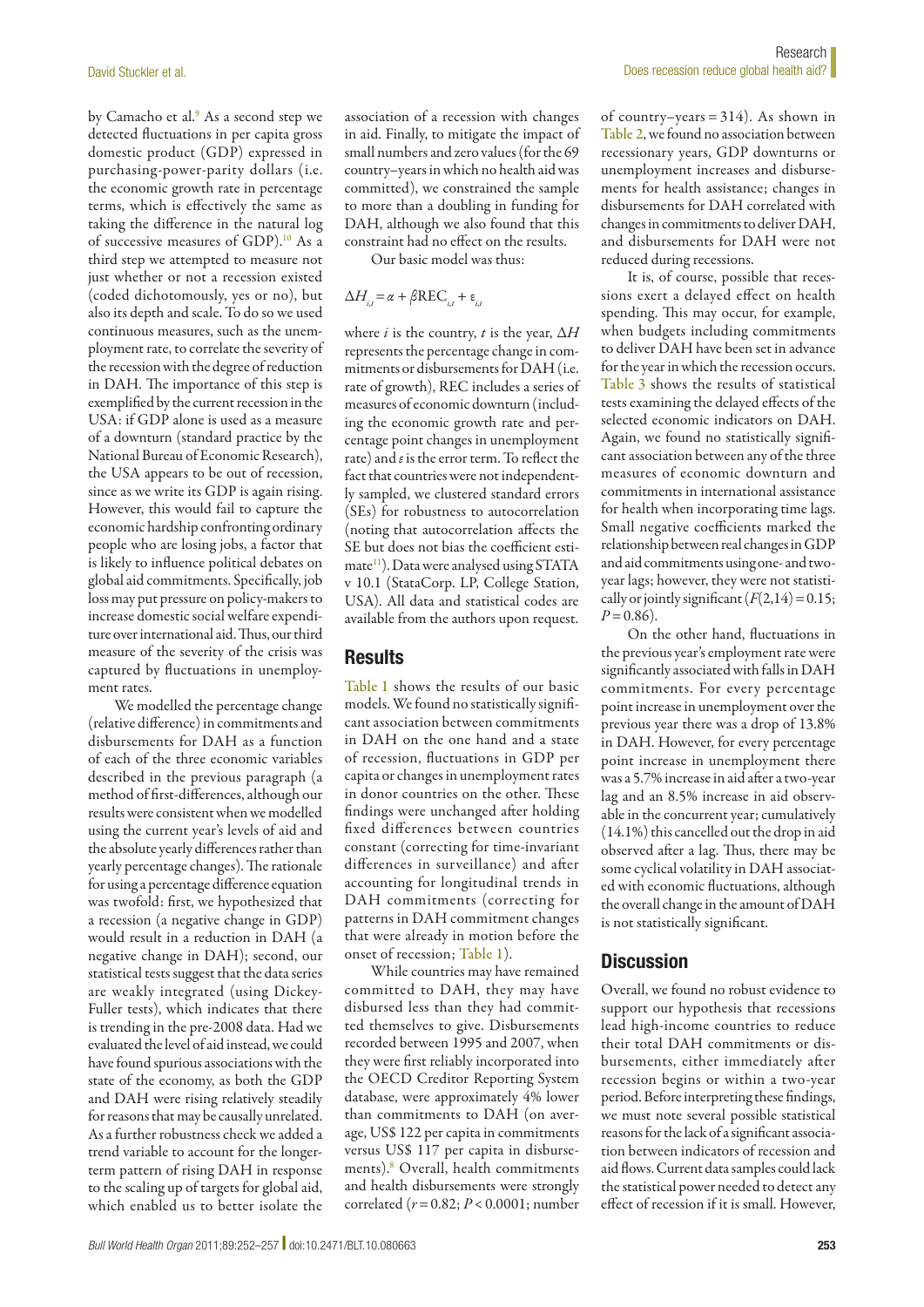by Camacho et al.<sup>[9](#page-5-8)</sup> As a second step we detected fluctuations in per capita gross domestic product (GDP) expressed in purchasing-power-parity dollars (i.e. the economic growth rate in percentage terms, which is effectively the same as taking the difference in the natural log of successive measures of GDP)[.10](#page-5-9) As a third step we attempted to measure not just whether or not a recession existed (coded dichotomously, yes or no), but also its depth and scale. To do so we used continuous measures, such as the unemployment rate, to correlate the severity of the recession with the degree of reduction in DAH. The importance of this step is exemplified by the current recession in the USA: if GDP alone is used as a measure of a downturn (standard practice by the National Bureau of Economic Research), the USA appears to be out of recession, since as we write its GDP is again rising. However, this would fail to capture the economic hardship confronting ordinary people who are losing jobs, a factor that is likely to influence political debates on global aid commitments. Specifically, job loss may put pressure on policy-makers to increase domestic social welfare expenditure over international aid. Thus, our third measure of the severity of the crisis was captured by fluctuations in unemployment rates.

We modelled the percentage change (relative difference) in commitments and disbursements for DAH as a function of each of the three economic variables described in the previous paragraph (a method of first-differences, although our results were consistent when we modelled using the current year's levels of aid and the absolute yearly differences rather than yearly percentage changes). The rationale for using a percentage difference equation was twofold: first, we hypothesized that a recession (a negative change in GDP) would result in a reduction in DAH (a negative change in DAH); second, our statistical tests suggest that the data series are weakly integrated (using Dickey-Fuller tests), which indicates that there is trending in the pre-2008 data. Had we evaluated the level of aid instead, we could have found spurious associations with the state of the economy, as both the GDP and DAH were rising relatively steadily for reasons that may be causally unrelated. As a further robustness check we added a trend variable to account for the longerterm pattern of rising DAH in response to the scaling up of targets for global aid, which enabled us to better isolate the

association of a recession with changes in aid. Finally, to mitigate the impact of small numbers and zero values (for the 69 country–years in which no health aid was committed), we constrained the sample to more than a doubling in funding for DAH, although we also found that this constraint had no effect on the results.

Our basic model was thus:

$$
\Delta H_{i,t} = \alpha + \beta \text{REC}_{i,t} + \varepsilon_{i,t}
$$

where *i* is the country, *t* is the year, ∆*H* represents the percentage change in commitments or disbursements for DAH (i.e. rate of growth), REC includes a series of measures of economic downturn (including the economic growth rate and percentage point changes in unemployment rate) and *ε* is the error term. To reflect the fact that countries were not independently sampled, we clustered standard errors (SEs) for robustness to autocorrelation (noting that autocorrelation affects the SE but does not bias the coefficient estimate<sup>11</sup>). Data were analysed using STATA v 10.1 (StataCorp. LP, College Station, USA). All data and statistical codes are available from the authors upon request.

## **Results**

[Table](#page-2-0) 1 shows the results of our basic models. We found no statistically significant association between commitments in DAH on the one hand and a state of recession, fluctuations in GDP per capita or changes in unemployment rates in donor countries on the other. These findings were unchanged after holding fixed differences between countries constant (correcting for time-invariant differences in surveillance) and after accounting for longitudinal trends in DAH commitments (correcting for patterns in DAH commitment changes that were already in motion before the onset of recession; [Table](#page-2-0) 1).

While countries may have remained committed to DAH, they may have disbursed less than they had committed themselves to give. Disbursements recorded between 1995 and 2007, when they were first reliably incorporated into the OECD Creditor Reporting System database, were approximately 4% lower than commitments to DAH (on average, US\$ 122 per capita in commitments versus US\$ 117 per capita in disbursements)[.8](#page-5-7) Overall, health commitments and health disbursements were strongly correlated (*r*=0.82; *P*<0.0001; number

of country–years =  $314$ ). As shown in [Table](#page-3-0) 2, we found no association between recessionary years, GDP downturns or unemployment increases and disbursements for health assistance; changes in disbursements for DAH correlated with changes in commitments to deliver DAH, and disbursements for DAH were not reduced during recessions.

It is, of course, possible that recessions exert a delayed effect on health spending. This may occur, for example, when budgets including commitments to deliver DAH have been set in advance for the year in which the recession occurs. [Table](#page-3-1) 3 shows the results of statistical tests examining the delayed effects of the selected economic indicators on DAH. Again, we found no statistically significant association between any of the three measures of economic downturn and commitments in international assistance for health when incorporating time lags. Small negative coefficients marked the relationship between real changes in GDP and aid commitments using one- and twoyear lags; however, they were not statistically or jointly significant  $(F(2,14)=0.15;$  $P=0.86$ ).

On the other hand, fluctuations in the previous year's employment rate were significantly associated with falls in DAH commitments. For every percentage point increase in unemployment over the previous year there was a drop of 13.8% in DAH. However, for every percentage point increase in unemployment there was a 5.7% increase in aid after a two-year lag and an 8.5% increase in aid observable in the concurrent year; cumulatively (14.1%) this cancelled out the drop in aid observed after a lag. Thus, there may be some cyclical volatility in DAH associated with economic fluctuations, although the overall change in the amount of DAH is not statistically significant.

# **Discussion**

Overall, we found no robust evidence to support our hypothesis that recessions lead high-income countries to reduce their total DAH commitments or disbursements, either immediately after recession begins or within a two-year period. Before interpreting these findings, we must note several possible statistical reasons for the lack of a significant association between indicators of recession and aid flows. Current data samples could lack the statistical power needed to detect any effect of recession if it is small. However,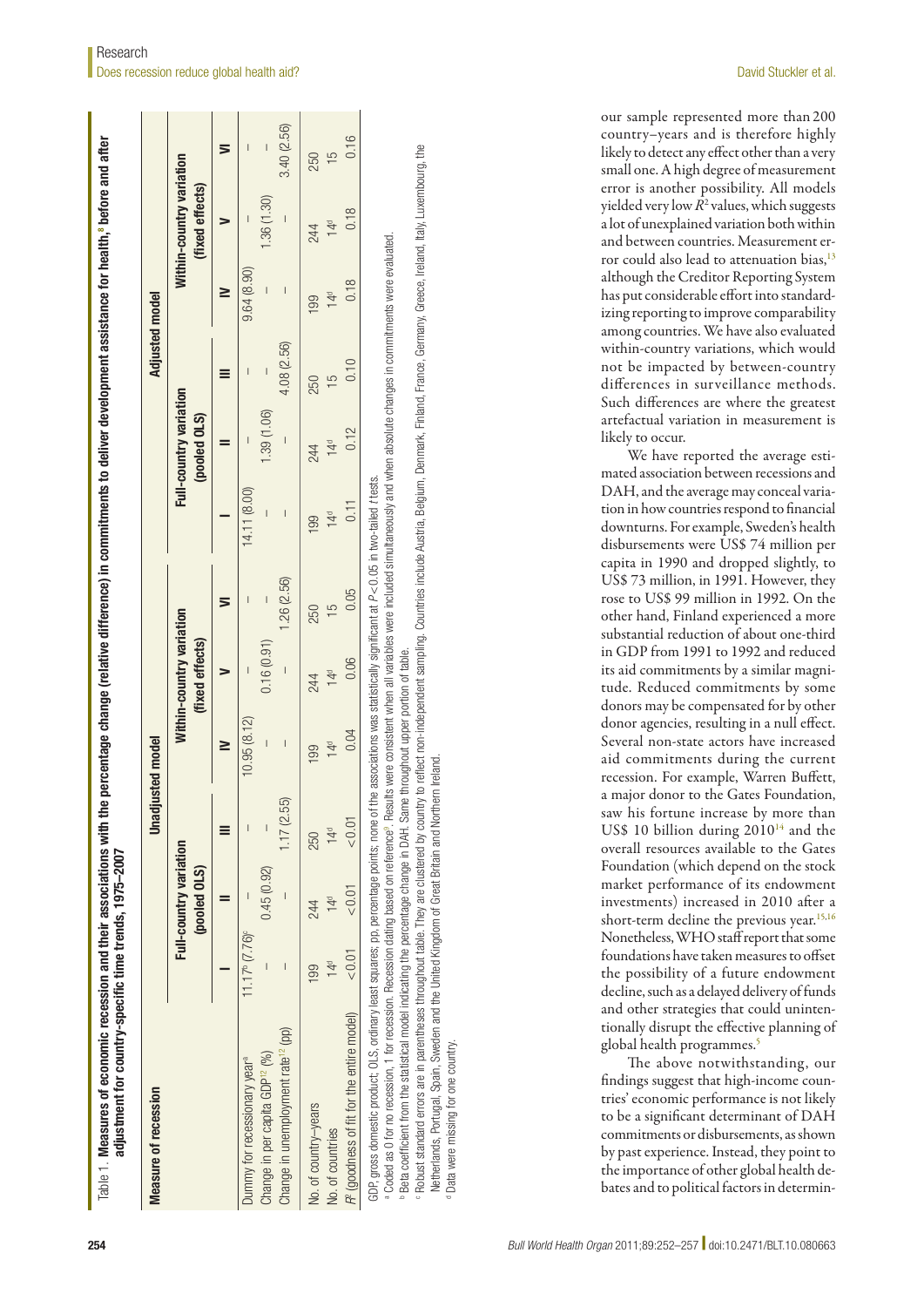| Measure of recession                                                                                                                                                                                                                                                                                                                                                                                 |                                  |                                               |                          | <b>Unadjusted model</b> |                                             |               |                 |                                        | Adjusted model           |                          |                                             |                |
|------------------------------------------------------------------------------------------------------------------------------------------------------------------------------------------------------------------------------------------------------------------------------------------------------------------------------------------------------------------------------------------------------|----------------------------------|-----------------------------------------------|--------------------------|-------------------------|---------------------------------------------|---------------|-----------------|----------------------------------------|--------------------------|--------------------------|---------------------------------------------|----------------|
|                                                                                                                                                                                                                                                                                                                                                                                                      |                                  | <b>Full-country variation</b><br>(pooled OLS) |                          |                         | Within-country variation<br>(fixed effects) |               |                 | Full-country variation<br>(pooled OLS) |                          |                          | Mithin-country variation<br>(fixed effects) |                |
|                                                                                                                                                                                                                                                                                                                                                                                                      |                                  |                                               |                          |                         |                                             |               |                 |                                        |                          |                          |                                             | 5              |
| Dummy for recessionary year <sup>®</sup>                                                                                                                                                                                                                                                                                                                                                             | $11.17^{\circ}$ $(7.76)^{\circ}$ |                                               | $\overline{1}$           | 10.95(8.12)             |                                             |               | (14.11 (8.00)   |                                        |                          | 9.64(8.90)               |                                             |                |
| Change in per capita GDP <sup>12</sup> (%)                                                                                                                                                                                                                                                                                                                                                           |                                  | 0.45(0.92)                                    | $\overline{\phantom{a}}$ |                         | 0.16(0.91)                                  | $\mid$        |                 | 1.39 (1.06)                            | $\overline{\phantom{a}}$ | $\overline{\phantom{a}}$ | 1.36 (1.30)                                 | $\overline{1}$ |
| Change in unemployment rate <sup>12</sup> (pp)                                                                                                                                                                                                                                                                                                                                                       |                                  |                                               | 17(2.55)                 |                         | $\overline{\phantom{a}}$                    | 1.26 (2.56)   |                 |                                        | 4.08 (2.56)              | $\overline{\phantom{a}}$ | $\overline{\phantom{a}}$                    | 3.40 (2.56)    |
| No. of country-years                                                                                                                                                                                                                                                                                                                                                                                 | $\frac{99}{2}$                   | 244                                           | 250                      | 199                     | 244                                         | 250           | 199             | 244                                    | 250                      | 199                      | 244                                         | 250            |
| No. of countries                                                                                                                                                                                                                                                                                                                                                                                     | 4 <sup>d</sup>                   | 14 <sup>d</sup>                               | 14 <sup>d</sup>          | 14 <sup>d</sup>         | 14 <sup>d</sup>                             | $\frac{5}{1}$ | 14 <sup>d</sup> | 14 <sup>d</sup>                        | 5                        | 14 <sup>d</sup>          | 14 <sup>d</sup>                             | $\frac{5}{1}$  |
| R <sup>e</sup> (goodness of fit for the entire model)                                                                                                                                                                                                                                                                                                                                                | < 0.01                           | < 0.01                                        | < 0.0                    | 0.04                    | 0.06                                        | 0.05          | 0.11            | 0.12                                   | 0.10                     | 0.18                     | 0.18                                        | 0.16           |
| a Coded as O for no recession, 1 for recession dating based on reference <sup>s</sup> . Results were consistent when all variables were included simultaneously and when absolute changes in commitments were evaluated.<br>GDF, gross domestic product; OLS, ordinary least squares; pp, percentage points; none of the associations was statistically significant at P<0.05 in two-tailed t tests. |                                  |                                               |                          |                         |                                             |               |                 |                                        |                          |                          |                                             |                |

FRobust standard errors are in parentheses throughout table. They are clustered by country to reflect non-independent sampling, Countries include Austria, Belgium, Denmark, Finland, France, Germany, Greece, Ireland, Italy, Robust standard errors are in parentheses throughout table. They are clustered by country to reflect non-independent sampling. Countries include Austria, Belgium, Denmark, Finland, France, Germany, Greece, Ireland, Italy, Netherlands, Portugal, Spain, Sweden and the United Kingdom of Great Britain and Northern Ireland. Spain, Sweden and the United Kingdom of Great Britain and Northern Ireland Netherlands, Portugal,

<span id="page-2-0"></span>Data were missing for one country. Data were missing for one country. our sample represented more than 200 country–years and is therefore highly likely to detect any effect other than a very small one. A high degree of measurement error is another possibility. All models yielded very low  $R^2$  values, which suggests a lot of unexplained variation both within and between countries. Measurement er-ror could also lead to attenuation bias,<sup>[13](#page-5-11)</sup> although the Creditor Reporting System has put considerable effort into standardizing reporting to improve comparability among countries. We have also evaluated within-country variations, which would not be impacted by between-country differences in surveillance methods. Such differences are where the greatest artefactual variation in measurement is likely to occur.

We have reported the average estimated association between recessions and DAH, and the average may conceal variation in how countries respond to financial downturns. For example, Sweden's health disbursements were US\$ 74 million per capita in 1990 and dropped slightly, to US\$ 73 million, in 1991. However, they rose to US\$ 99 million in 1992. On the other hand, Finland experienced a more substantial reduction of about one-third in GDP from 1991 to 1992 and reduced its aid commitments by a similar magnitude. Reduced commitments by some donors may be compensated for by other donor agencies, resulting in a null effect. Several non-state actors have increased aid commitments during the current recession. For example, Warren Buffett, a major donor to the Gates Foundation, saw his fortune increase by more than US\$ 10 billion during  $2010^{14}$  and the overall resources available to the Gates Foundation (which depend on the stock market performance of its endowment investments) increased in 2010 after a short-term decline the previous year.<sup>15,[16](#page-5-14)</sup> Nonetheless, WHO staff report that some foundations have taken measures to offset the possibility of a future endowment decline, such as a delayed delivery of funds and other strategies that could unintentionally disrupt the effective planning of global health programmes.<sup>5</sup>

The above notwithstanding, our findings suggest that high-income countries' economic performance is not likely to be a significant determinant of DAH commitments or disbursements, as shown by past experience. Instead, they point to the importance of other global health debates and to political factors in determin-

Table 1 Measures of economic recession and their associations with the percentage change (relative difference) in commitments to deliver development assistance for health,<sup>8</sup> before and after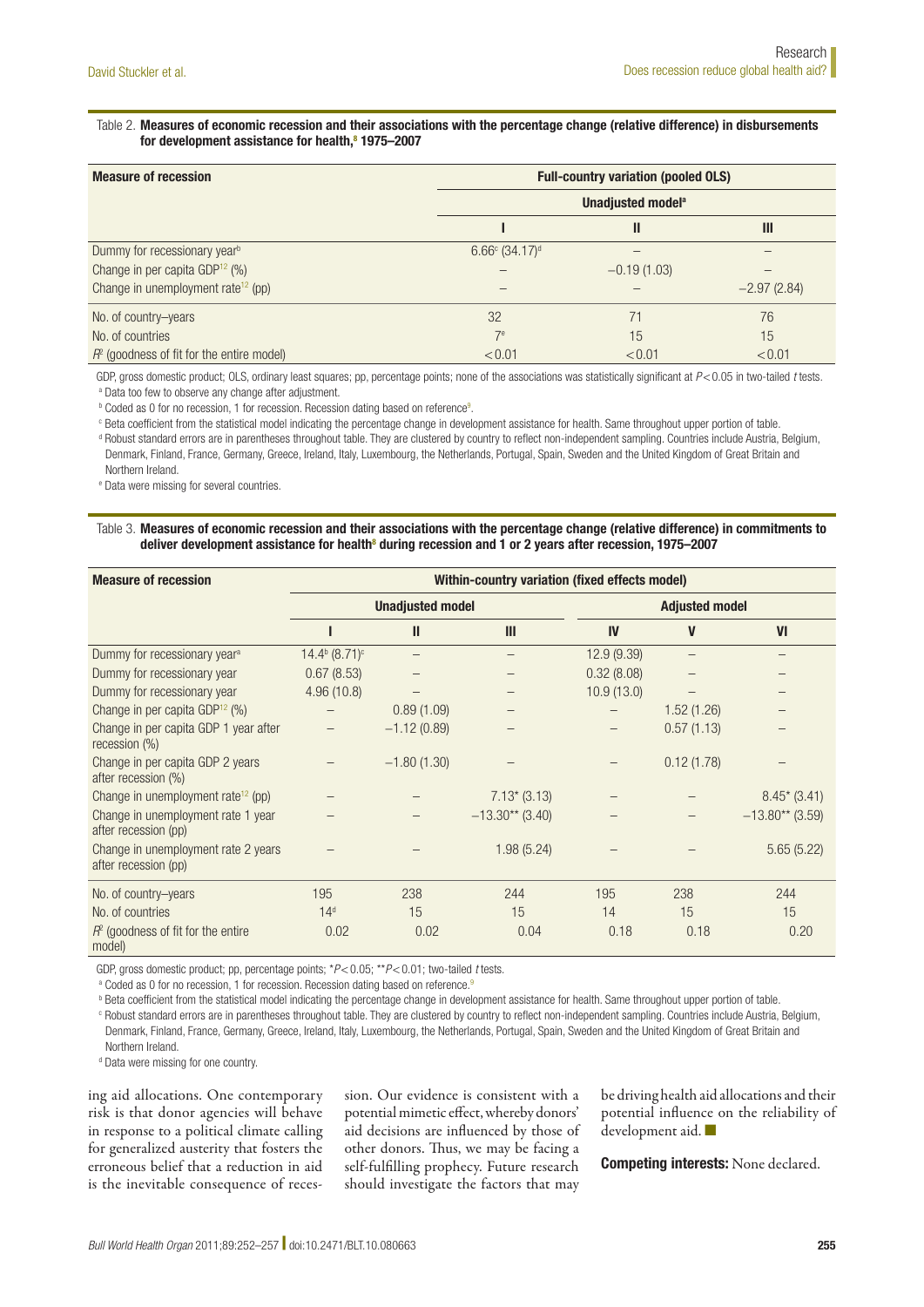#### <span id="page-3-0"></span>Table 2. Measures of economic recession and their associations with the percentage change (relative difference) in disbursements for development assistance for health,<sup>[8](#page-5-7)</sup> 1975–2007

| <b>Measure of recession</b>                    | <b>Full-country variation (pooled OLS)</b> |                               |               |  |  |
|------------------------------------------------|--------------------------------------------|-------------------------------|---------------|--|--|
|                                                |                                            | Unadjusted model <sup>a</sup> |               |  |  |
|                                                |                                            | Ш                             | Ш             |  |  |
| Dummy for recessionary year <sup>b</sup>       | $6.66^{\circ}$ (34.17) <sup>d</sup>        |                               |               |  |  |
| Change in per capita GDP <sup>12</sup> (%)     |                                            | $-0.19(1.03)$                 |               |  |  |
| Change in unemployment rate <sup>12</sup> (pp) |                                            |                               | $-2.97(2.84)$ |  |  |
| No. of country-years                           | 32                                         |                               | 76            |  |  |
| No. of countries                               | 7 <sup>e</sup>                             | 15                            | 15            |  |  |
| $R2$ (goodness of fit for the entire model)    | < 0.01                                     | < 0.01                        | < 0.01        |  |  |

GDP, gross domestic product; OLS, ordinary least squares; pp, percentage points; none of the associations was statistically significant at *P*<0.05 in two-tailed *t* tests. <sup>a</sup> Data too few to observe any change after adjustment.

**b** Coded as 0 for no recession, 1 for recession. Recession dating based on reference<sup>9</sup>.

<sup>c</sup> Beta coefficient from the statistical model indicating the percentage change in development assistance for health. Same throughout upper portion of table.

<sup>d</sup> Robust standard errors are in parentheses throughout table. They are clustered by country to reflect non-independent sampling. Countries include Austria, Belgium, Denmark, Finland, France, Germany, Greece, Ireland, Italy, Luxembourg, the Netherlands, Portugal, Spain, Sweden and the United Kingdom of Great Britain and Northern Ireland.

<sup>e</sup> Data were missing for several countries.

#### <span id="page-3-1"></span>Table 3. Measures of economic recession and their associations with the percentage change (relative difference) in commitments to deliver development assistance for health<sup>[8](#page-5-7)</sup> during recession and 1 or 2 years after recession, 1975–2007

| <b>Measure of recession</b>                                 | Within-country variation (fixed effects model) |               |                   |                       |             |                   |  |
|-------------------------------------------------------------|------------------------------------------------|---------------|-------------------|-----------------------|-------------|-------------------|--|
|                                                             | <b>Unadjusted model</b>                        |               |                   | <b>Adjusted model</b> |             |                   |  |
|                                                             |                                                | $\mathbf{I}$  | Ш                 | IV                    | $\mathbf V$ | VI                |  |
| Dummy for recessionary year <sup>a</sup>                    | $14.4^{\rm b}$ $(8.71)^{\rm c}$                |               |                   | 12.9(9.39)            |             |                   |  |
| Dummy for recessionary year                                 | 0.67(8.53)                                     |               |                   | 0.32(8.08)            |             |                   |  |
| Dummy for recessionary year                                 | 4.96(10.8)                                     |               |                   | 10.9(13.0)            |             |                   |  |
| Change in per capita GDP <sup>12</sup> (%)                  |                                                | 0.89(1.09)    |                   |                       | 1.52(1.26)  |                   |  |
| Change in per capita GDP 1 year after<br>recession (%)      |                                                | $-1.12(0.89)$ |                   |                       | 0.57(1.13)  |                   |  |
| Change in per capita GDP 2 years<br>after recession (%)     |                                                | $-1.80(1.30)$ |                   |                       | 0.12(1.78)  |                   |  |
| Change in unemployment rate <sup>12</sup> (pp)              |                                                |               | $7.13*(3.13)$     |                       |             | $8.45*(3.41)$     |  |
| Change in unemployment rate 1 year<br>after recession (pp)  |                                                |               | $-13.30**$ (3.40) |                       |             | $-13.80**$ (3.59) |  |
| Change in unemployment rate 2 years<br>after recession (pp) |                                                |               | 1.98(5.24)        |                       |             | 5.65(5.22)        |  |
| No. of country-years                                        | 195                                            | 238           | 244               | 195                   | 238         | 244               |  |
| No. of countries                                            | 14 <sup>d</sup>                                | 15            | 15                | 14                    | 15          | 15                |  |
| $R2$ (goodness of fit for the entire<br>model)              | 0.02                                           | 0.02          | 0.04              | 0.18                  | 0.18        | 0.20              |  |

GDP, gross domestic product; pp, percentage points; \**P*<0.05; \*\**P*<0.01; two-tailed *t* tests.

a Coded as 0 for no recession, 1 for recession. Recession dating based on reference.<sup>9</sup>

**b** Beta coefficient from the statistical model indicating the percentage change in development assistance for health. Same throughout upper portion of table.

<sup>c</sup> Robust standard errors are in parentheses throughout table. They are clustered by country to reflect non-independent sampling. Countries include Austria, Belgium, Denmark, Finland, France, Germany, Greece, Ireland, Italy, Luxembourg, the Netherlands, Portugal, Spain, Sweden and the United Kingdom of Great Britain and Northern Ireland.

<sup>d</sup> Data were missing for one country.

ing aid allocations. One contemporary risk is that donor agencies will behave in response to a political climate calling for generalized austerity that fosters the erroneous belief that a reduction in aid is the inevitable consequence of recession. Our evidence is consistent with a potential mimetic effect, whereby donors' aid decisions are influenced by those of other donors. Thus, we may be facing a self-fulfilling prophecy. Future research should investigate the factors that may

be driving health aid allocations and their potential influence on the reliability of development aid. ■

Competing interests: None declared.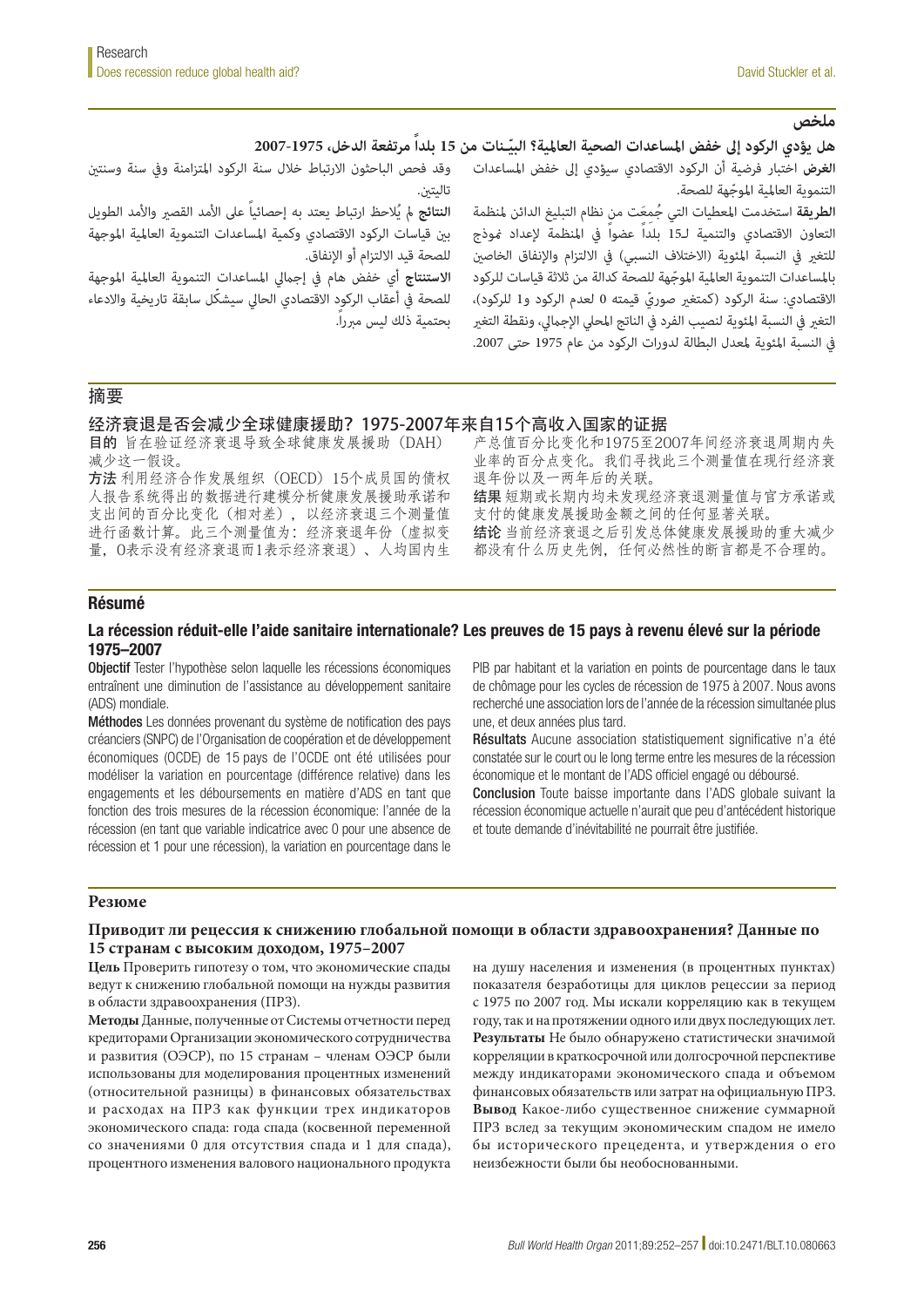# ملخص<br>هل يؤدى الركود إلى خفض المساعدات الصحية العالمية؟ البيّـنات من 15 بلداً مرتفعة الدخل، 1975-2007 **هل يؤدي الركود إلى خفض المساعدات الصحية العالمية؟ البيّـنات من 15 بلداً مرتفعة الدخل، 1975-2007**<br>ال**غرض** اختبار فرضية أن الركود الاقتصادي سيؤدي إلى خفض المساعدات وقد فحص الباحثون الارتباط خلال سنة الركود المتزامنة وفي

تاليتني.

ا**لنتائج** لم يُلاحظ ارتباط يعتد به إحصائياً على الأمد القصير والأمد الطويل بين قياسات الركود الاقتصادي وكمية المساعدات التنموية العالمية الموجهة للصحة قيد الالتزام أو الإنفاق.

**االستنتاج** أي خفض هام يف إجاميل املساعدات التنموية العاملية املوجهة ّ للصحة يف أعقاب الركود االقتصادي الحايل سيشكل سابقة تاريخية واالدعاء بحتمية ذلك ليس مربرا.ً

ّ التنموية العاملية املوجهة للصحة. ا**لطريقة** استخدمت المعطيات التي جُمعَت من نظام التبليغ الدائن لمنظمة التعاون االقتصادي والتنمية لـ15 بلداً عضواً يف املنظمة إلعداد منوذج للتغير في النسبة المئوية (الاختلاف النسبي) في الالتزام والإنفاق الخاصين ّ باملساعدات التنموية العاملية املوجهة للصحة كدالة من ثالثة قياسات للركود الاقتصادي: سنة الركود (كمتغير صوريّ قيمته 0 لعدم الركود و1 للركود)،

التغر فى النسبة المئوية لنصيب الفرد فى الناتج المحلى الإجمالي، ونقطة التغير يف النسبة املئوية ملعدل البطالة لدورات الركود من عام 1975 حتى .2007

# 摘要

#### 经济衰退是否会减少全球健康援助?1975-2007年来自15个高收入国家的证据

目的 旨在验证经济衰退导致全球健康发展援助(DAH) 减少这一假设。

方法 利用经济合作发展组织(OECD)15个成员国的债权 人报告系统得出的数据进行建模分析健康发展援助承诺和 支出间的百分比变化(相对差),以经济衰退三个测量值 进行函数计算。此三个测量值为:经济衰退年份(虚拟变 量,0表示没有经济衰退而1表示经济衰退)、人均国内生

产总值百分比变化和1975至2007年间经济衰退周期内失 业率的百分点变化。我们寻找此三个测量值在现行经济衰 退年份以及一两年后的关联。 结果 短期或长期内均未发现经济衰退测量值与官方承诺或 支付的健康发展援助金额之间的任何显著关联。 结论 当前经济衰退之后引发总体健康发展援助的重大减少 都没有什么历史先例,任何必然性的断言都是不合理的。

# Résumé

#### La récession réduit-elle l'aide sanitaire internationale? Les preuves de 15 pays à revenu élevé sur la période 1975–2007

Objectif Tester l'hypothèse selon laquelle les récessions économiques entraînent une diminution de l'assistance au développement sanitaire (ADS) mondiale.

Méthodes Les données provenant du système de notification des pays créanciers (SNPC) de l'Organisation de coopération et de développement économiques (OCDE) de 15 pays de l'OCDE ont été utilisées pour modéliser la variation en pourcentage (différence relative) dans les engagements et les déboursements en matière d'ADS en tant que fonction des trois mesures de la récession économique: l'année de la récession (en tant que variable indicatrice avec 0 pour une absence de récession et 1 pour une récession), la variation en pourcentage dans le

PIB par habitant et la variation en points de pourcentage dans le taux de chômage pour les cycles de récession de 1975 à 2007. Nous avons recherché une association lors de l'année de la récession simultanée plus une, et deux années plus tard.

Résultats Aucune association statistiquement significative n'a été constatée sur le court ou le long terme entre les mesures de la récession économique et le montant de l'ADS officiel engagé ou déboursé.

Conclusion Toute baisse importante dans l'ADS globale suivant la récession économique actuelle n'aurait que peu d'antécédent historique et toute demande d'inévitabilité ne pourrait être justifiée.

#### **Резюме**

### **Приводит ли рецессия к снижению глобальной помощи в области здравоохранения? Данные по 15 странам с высоким доходом, 1975–2007**

**Цель** Проверить гипотезу о том, что экономические спады ведут к снижению глобальной помощи на нужды развития в области здравоохранения (ПРЗ).

**Методы** Данные, полученные от Системы отчетности перед кредиторами Организации экономического сотрудничества и развития (ОЭСР), по 15 странам – членам ОЭСР были использованы для моделирования процентных изменений (относительной разницы) в финансовых обязательствах и расходах на ПРЗ как функции трех индикаторов экономического спада: года спада (косвенной переменной со значениями 0 для отсутствия спада и 1 для спада), процентного изменения валового национального продукта

на душу населения и изменения (в процентных пунктах) показателя безработицы для циклов рецессии за период с 1975 по 2007 год. Мы искали корреляцию как в текущем году, так и на протяжении одного или двух последующих лет. **Результаты** Не было обнаружено статистически значимой корреляции в краткосрочной или долгосрочной перспективе между индикаторами экономического спада и объемом финансовых обязательств или затрат на официальную ПРЗ. **Вывод** Какое-либо существенное снижение суммарной ПРЗ вслед за текущим экономическим спадом не имело бы исторического прецедента, и утверждения о его неизбежности были бы необоснованными.